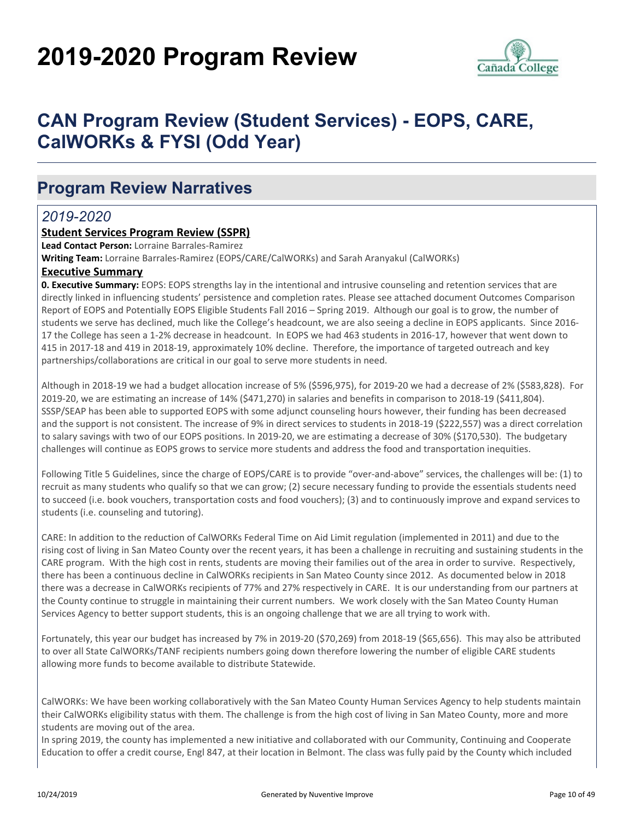# **2019-2020 Program Review**



## **CAN Program Review (Student Services) - EOPS, CARE, CalWORKs & FYSI (Odd Year)**

### **Program Review Narratives**

### *2019-2020*

#### **Student Services Program Review (SSPR)**

**Lead Contact Person:** Lorraine Barrales-Ramirez

**Writing Team:** Lorraine Barrales-Ramirez (EOPS/CARE/CalWORKs) and Sarah Aranyakul (CalWORKs)

#### **Executive Summary**

**0. Executive Summary:** EOPS: EOPS strengths lay in the intentional and intrusive counseling and retention services that are directly linked in influencing students' persistence and completion rates. Please see attached document Outcomes Comparison Report of EOPS and Potentially EOPS Eligible Students Fall 2016 – Spring 2019. Although our goal is to grow, the number of students we serve has declined, much like the College's headcount, we are also seeing a decline in EOPS applicants. Since 2016- 17 the College has seen a 1-2% decrease in headcount. In EOPS we had 463 students in 2016-17, however that went down to 415 in 2017-18 and 419 in 2018-19, approximately 10% decline. Therefore, the importance of targeted outreach and key partnerships/collaborations are critical in our goal to serve more students in need.

Although in 2018-19 we had a budget allocation increase of 5% (\$596,975), for 2019-20 we had a decrease of 2% (\$583,828). For 2019-20, we are estimating an increase of 14% (\$471,270) in salaries and benefits in comparison to 2018-19 (\$411,804). SSSP/SEAP has been able to supported EOPS with some adjunct counseling hours however, their funding has been decreased and the support is not consistent. The increase of 9% in direct services to students in 2018-19 (\$222,557) was a direct correlation to salary savings with two of our EOPS positions. In 2019-20, we are estimating a decrease of 30% (\$170,530). The budgetary challenges will continue as EOPS grows to service more students and address the food and transportation inequities.

Following Title 5 Guidelines, since the charge of EOPS/CARE is to provide "over-and-above" services, the challenges will be: (1) to recruit as many students who qualify so that we can grow; (2) secure necessary funding to provide the essentials students need to succeed (i.e. book vouchers, transportation costs and food vouchers); (3) and to continuously improve and expand services to students (i.e. counseling and tutoring).

CARE: In addition to the reduction of CalWORKs Federal Time on Aid Limit regulation (implemented in 2011) and due to the rising cost of living in San Mateo County over the recent years, it has been a challenge in recruiting and sustaining students in the CARE program. With the high cost in rents, students are moving their families out of the area in order to survive. Respectively, there has been a continuous decline in CalWORKs recipients in San Mateo County since 2012. As documented below in 2018 there was a decrease in CalWORKs recipients of 77% and 27% respectively in CARE. It is our understanding from our partners at the County continue to struggle in maintaining their current numbers. We work closely with the San Mateo County Human Services Agency to better support students, this is an ongoing challenge that we are all trying to work with.

Fortunately, this year our budget has increased by 7% in 2019-20 (\$70,269) from 2018-19 (\$65,656). This may also be attributed to over all State CalWORKs/TANF recipients numbers going down therefore lowering the number of eligible CARE students allowing more funds to become available to distribute Statewide.

CalWORKs: We have been working collaboratively with the San Mateo County Human Services Agency to help students maintain their CalWORKs eligibility status with them. The challenge is from the high cost of living in San Mateo County, more and more students are moving out of the area.

In spring 2019, the county has implemented a new initiative and collaborated with our Community, Continuing and Cooperate Education to offer a credit course, Engl 847, at their location in Belmont. The class was fully paid by the County which included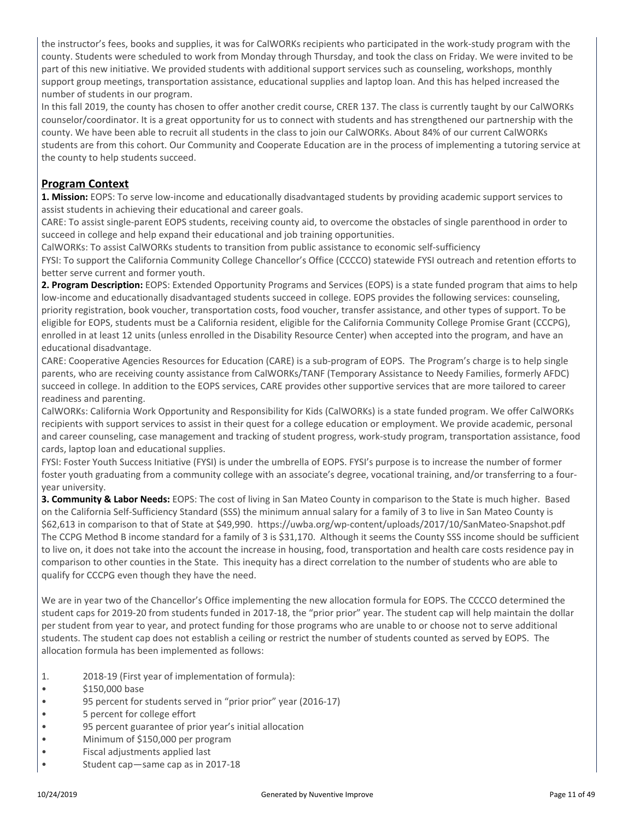the instructor's fees, books and supplies, it was for CalWORKs recipients who participated in the work-study program with the county. Students were scheduled to work from Monday through Thursday, and took the class on Friday. We were invited to be part of this new initiative. We provided students with additional support services such as counseling, workshops, monthly support group meetings, transportation assistance, educational supplies and laptop loan. And this has helped increased the number of students in our program.

In this fall 2019, the county has chosen to offer another credit course, CRER 137. The class is currently taught by our CalWORKs counselor/coordinator. It is a great opportunity for us to connect with students and has strengthened our partnership with the county. We have been able to recruit all students in the class to join our CalWORKs. About 84% of our current CalWORKs students are from this cohort. Our Community and Cooperate Education are in the process of implementing a tutoring service at the county to help students succeed.

#### **Program Context**

**1. Mission:** EOPS: To serve low-income and educationally disadvantaged students by providing academic support services to assist students in achieving their educational and career goals.

CARE: To assist single-parent EOPS students, receiving county aid, to overcome the obstacles of single parenthood in order to succeed in college and help expand their educational and job training opportunities.

CalWORKs: To assist CalWORKs students to transition from public assistance to economic self-sufficiency

FYSI: To support the California Community College Chancellor's Office (CCCCO) statewide FYSI outreach and retention efforts to better serve current and former youth.

**2. Program Description:** EOPS: Extended Opportunity Programs and Services (EOPS) is a state funded program that aims to help low-income and educationally disadvantaged students succeed in college. EOPS provides the following services: counseling, priority registration, book voucher, transportation costs, food voucher, transfer assistance, and other types of support. To be eligible for EOPS, students must be a California resident, eligible for the California Community College Promise Grant (CCCPG), enrolled in at least 12 units (unless enrolled in the Disability Resource Center) when accepted into the program, and have an educational disadvantage.

CARE: Cooperative Agencies Resources for Education (CARE) is a sub-program of EOPS. The Program's charge is to help single parents, who are receiving county assistance from CalWORKs/TANF (Temporary Assistance to Needy Families, formerly AFDC) succeed in college. In addition to the EOPS services, CARE provides other supportive services that are more tailored to career readiness and parenting.

CalWORKs: California Work Opportunity and Responsibility for Kids (CalWORKs) is a state funded program. We offer CalWORKs recipients with support services to assist in their quest for a college education or employment. We provide academic, personal and career counseling, case management and tracking of student progress, work-study program, transportation assistance, food cards, laptop loan and educational supplies.

FYSI: Foster Youth Success Initiative (FYSI) is under the umbrella of EOPS. FYSI's purpose is to increase the number of former foster youth graduating from a community college with an associate's degree, vocational training, and/or transferring to a fouryear university.

**3. Community & Labor Needs:** EOPS: The cost of living in San Mateo County in comparison to the State is much higher. Based on the California Self-Sufficiency Standard (SSS) the minimum annual salary for a family of 3 to live in San Mateo County is \$62,613 in comparison to that of State at \$49,990. https://uwba.org/wp-content/uploads/2017/10/SanMateo-Snapshot.pdf The CCPG Method B income standard for a family of 3 is \$31,170. Although it seems the County SSS income should be sufficient to live on, it does not take into the account the increase in housing, food, transportation and health care costs residence pay in comparison to other counties in the State. This inequity has a direct correlation to the number of students who are able to qualify for CCCPG even though they have the need.

We are in year two of the Chancellor's Office implementing the new allocation formula for EOPS. The CCCCO determined the student caps for 2019-20 from students funded in 2017-18, the "prior prior" year. The student cap will help maintain the dollar per student from year to year, and protect funding for those programs who are unable to or choose not to serve additional students. The student cap does not establish a ceiling or restrict the number of students counted as served by EOPS. The allocation formula has been implemented as follows:

- 1. 2018-19 (First year of implementation of formula):
- \$150,000 base
- 95 percent for students served in "prior prior" year (2016-17)
- 5 percent for college effort
- 95 percent guarantee of prior year's initial allocation
- Minimum of \$150,000 per program
- Fiscal adjustments applied last
- Student cap—same cap as in 2017-18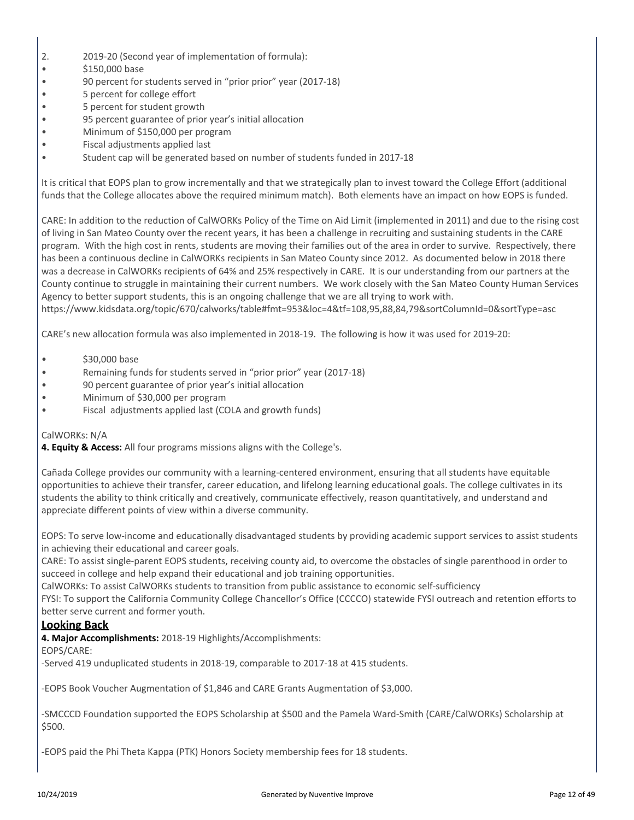- 2. 2019-20 (Second year of implementation of formula):
- \$150,000 base
- 90 percent for students served in "prior prior" year (2017-18)
- 5 percent for college effort
- 5 percent for student growth
- 95 percent guarantee of prior year's initial allocation
- Minimum of \$150,000 per program
- Fiscal adjustments applied last
- Student cap will be generated based on number of students funded in 2017-18

It is critical that EOPS plan to grow incrementally and that we strategically plan to invest toward the College Effort (additional funds that the College allocates above the required minimum match). Both elements have an impact on how EOPS is funded.

CARE: In addition to the reduction of CalWORKs Policy of the Time on Aid Limit (implemented in 2011) and due to the rising cost of living in San Mateo County over the recent years, it has been a challenge in recruiting and sustaining students in the CARE program. With the high cost in rents, students are moving their families out of the area in order to survive. Respectively, there has been a continuous decline in CalWORKs recipients in San Mateo County since 2012. As documented below in 2018 there was a decrease in CalWORKs recipients of 64% and 25% respectively in CARE. It is our understanding from our partners at the County continue to struggle in maintaining their current numbers. We work closely with the San Mateo County Human Services Agency to better support students, this is an ongoing challenge that we are all trying to work with.

https://www.kidsdata.org/topic/670/calworks/table#fmt=953&loc=4&tf=108,95,88,84,79&sortColumnId=0&sortType=asc

CARE's new allocation formula was also implemented in 2018-19. The following is how it was used for 2019-20:

- \$30,000 base
- Remaining funds for students served in "prior prior" year (2017-18)
- 90 percent guarantee of prior year's initial allocation
- Minimum of \$30,000 per program
- Fiscal adjustments applied last (COLA and growth funds)

CalWORKs: N/A

**4. Equity & Access:** All four programs missions aligns with the College's.

Cañada College provides our community with a learning-centered environment, ensuring that all students have equitable opportunities to achieve their transfer, career education, and lifelong learning educational goals. The college cultivates in its students the ability to think critically and creatively, communicate effectively, reason quantitatively, and understand and appreciate different points of view within a diverse community.

EOPS: To serve low-income and educationally disadvantaged students by providing academic support services to assist students in achieving their educational and career goals.

CARE: To assist single-parent EOPS students, receiving county aid, to overcome the obstacles of single parenthood in order to succeed in college and help expand their educational and job training opportunities.

CalWORKs: To assist CalWORKs students to transition from public assistance to economic self-sufficiency

FYSI: To support the California Community College Chancellor's Office (CCCCO) statewide FYSI outreach and retention efforts to better serve current and former youth.

#### **Looking Back**

**4. Major Accomplishments:** 2018-19 Highlights/Accomplishments:

EOPS/CARE:

-Served 419 unduplicated students in 2018-19, comparable to 2017-18 at 415 students.

-EOPS Book Voucher Augmentation of \$1,846 and CARE Grants Augmentation of \$3,000.

-SMCCCD Foundation supported the EOPS Scholarship at \$500 and the Pamela Ward-Smith (CARE/CalWORKs) Scholarship at \$500.

-EOPS paid the Phi Theta Kappa (PTK) Honors Society membership fees for 18 students.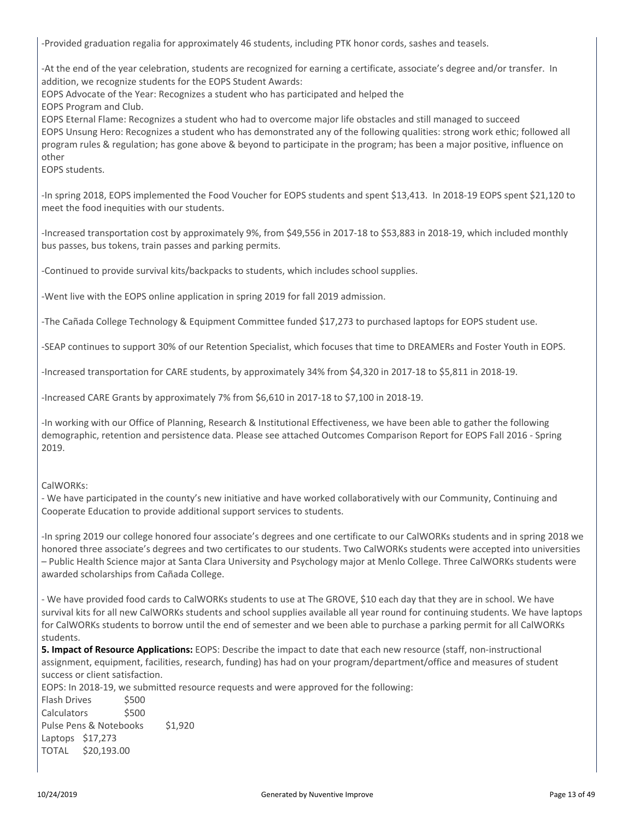-Provided graduation regalia for approximately 46 students, including PTK honor cords, sashes and teasels.

-At the end of the year celebration, students are recognized for earning a certificate, associate's degree and/or transfer. In addition, we recognize students for the EOPS Student Awards:

EOPS Advocate of the Year: Recognizes a student who has participated and helped the

EOPS Program and Club.

EOPS Eternal Flame: Recognizes a student who had to overcome major life obstacles and still managed to succeed EOPS Unsung Hero: Recognizes a student who has demonstrated any of the following qualities: strong work ethic; followed all program rules & regulation; has gone above & beyond to participate in the program; has been a major positive, influence on other

EOPS students.

-In spring 2018, EOPS implemented the Food Voucher for EOPS students and spent \$13,413. In 2018-19 EOPS spent \$21,120 to meet the food inequities with our students.

-Increased transportation cost by approximately 9%, from \$49,556 in 2017-18 to \$53,883 in 2018-19, which included monthly bus passes, bus tokens, train passes and parking permits.

-Continued to provide survival kits/backpacks to students, which includes school supplies.

-Went live with the EOPS online application in spring 2019 for fall 2019 admission.

-The Cañada College Technology & Equipment Committee funded \$17,273 to purchased laptops for EOPS student use.

-SEAP continues to support 30% of our Retention Specialist, which focuses that time to DREAMERs and Foster Youth in EOPS.

-Increased transportation for CARE students, by approximately 34% from \$4,320 in 2017-18 to \$5,811 in 2018-19.

-Increased CARE Grants by approximately 7% from \$6,610 in 2017-18 to \$7,100 in 2018-19.

-In working with our Office of Planning, Research & Institutional Effectiveness, we have been able to gather the following demographic, retention and persistence data. Please see attached Outcomes Comparison Report for EOPS Fall 2016 - Spring 2019.

#### CalWORKs:

- We have participated in the county's new initiative and have worked collaboratively with our Community, Continuing and Cooperate Education to provide additional support services to students.

-In spring 2019 our college honored four associate's degrees and one certificate to our CalWORKs students and in spring 2018 we honored three associate's degrees and two certificates to our students. Two CalWORKs students were accepted into universities – Public Health Science major at Santa Clara University and Psychology major at Menlo College. Three CalWORKs students were awarded scholarships from Cañada College.

- We have provided food cards to CalWORKs students to use at The GROVE, \$10 each day that they are in school. We have survival kits for all new CalWORKs students and school supplies available all year round for continuing students. We have laptops for CalWORKs students to borrow until the end of semester and we been able to purchase a parking permit for all CalWORKs students.

**5. Impact of Resource Applications:** EOPS: Describe the impact to date that each new resource (staff, non-instructional assignment, equipment, facilities, research, funding) has had on your program/department/office and measures of student success or client satisfaction.

EOPS: In 2018-19, we submitted resource requests and were approved for the following:

Flash Drives \$500 Calculators \$500 Pulse Pens & Notebooks \$1,920 Laptops \$17,273 TOTAL \$20,193.00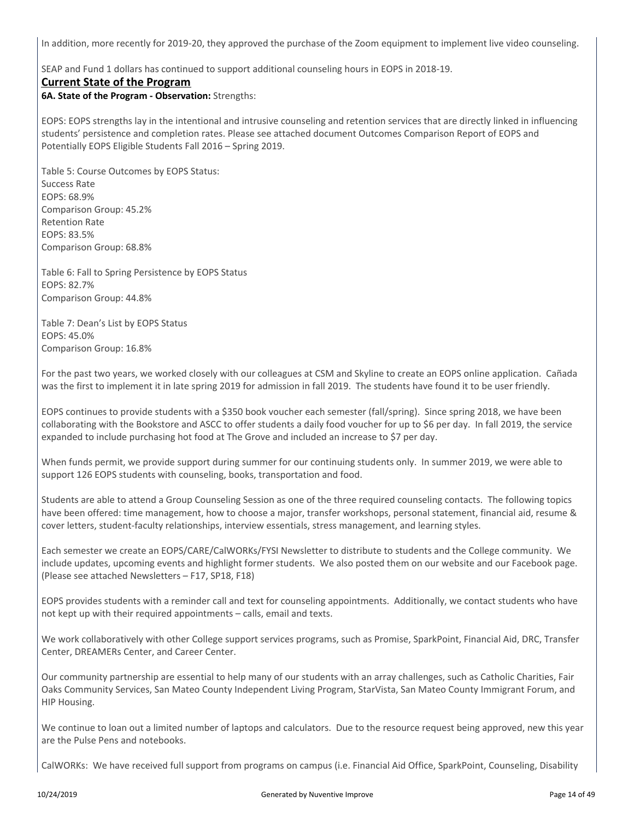In addition, more recently for 2019-20, they approved the purchase of the Zoom equipment to implement live video counseling.

SEAP and Fund 1 dollars has continued to support additional counseling hours in EOPS in 2018-19.

#### **Current State of the Program**

**6A. State of the Program - Observation:** Strengths:

EOPS: EOPS strengths lay in the intentional and intrusive counseling and retention services that are directly linked in influencing students' persistence and completion rates. Please see attached document Outcomes Comparison Report of EOPS and Potentially EOPS Eligible Students Fall 2016 – Spring 2019.

Table 5: Course Outcomes by EOPS Status: Success Rate EOPS: 68.9% Comparison Group: 45.2% Retention Rate EOPS: 83.5% Comparison Group: 68.8%

Table 6: Fall to Spring Persistence by EOPS Status EOPS: 82.7% Comparison Group: 44.8%

Table 7: Dean's List by EOPS Status EOPS: 45.0% Comparison Group: 16.8%

For the past two years, we worked closely with our colleagues at CSM and Skyline to create an EOPS online application. Cañada was the first to implement it in late spring 2019 for admission in fall 2019. The students have found it to be user friendly.

EOPS continues to provide students with a \$350 book voucher each semester (fall/spring). Since spring 2018, we have been collaborating with the Bookstore and ASCC to offer students a daily food voucher for up to \$6 per day. In fall 2019, the service expanded to include purchasing hot food at The Grove and included an increase to \$7 per day.

When funds permit, we provide support during summer for our continuing students only. In summer 2019, we were able to support 126 EOPS students with counseling, books, transportation and food.

Students are able to attend a Group Counseling Session as one of the three required counseling contacts. The following topics have been offered: time management, how to choose a major, transfer workshops, personal statement, financial aid, resume & cover letters, student-faculty relationships, interview essentials, stress management, and learning styles.

Each semester we create an EOPS/CARE/CalWORKs/FYSI Newsletter to distribute to students and the College community. We include updates, upcoming events and highlight former students. We also posted them on our website and our Facebook page. (Please see attached Newsletters – F17, SP18, F18)

EOPS provides students with a reminder call and text for counseling appointments. Additionally, we contact students who have not kept up with their required appointments – calls, email and texts.

We work collaboratively with other College support services programs, such as Promise, SparkPoint, Financial Aid, DRC, Transfer Center, DREAMERs Center, and Career Center.

Our community partnership are essential to help many of our students with an array challenges, such as Catholic Charities, Fair Oaks Community Services, San Mateo County Independent Living Program, StarVista, San Mateo County Immigrant Forum, and HIP Housing.

We continue to loan out a limited number of laptops and calculators. Due to the resource request being approved, new this year are the Pulse Pens and notebooks.

CalWORKs: We have received full support from programs on campus (i.e. Financial Aid Office, SparkPoint, Counseling, Disability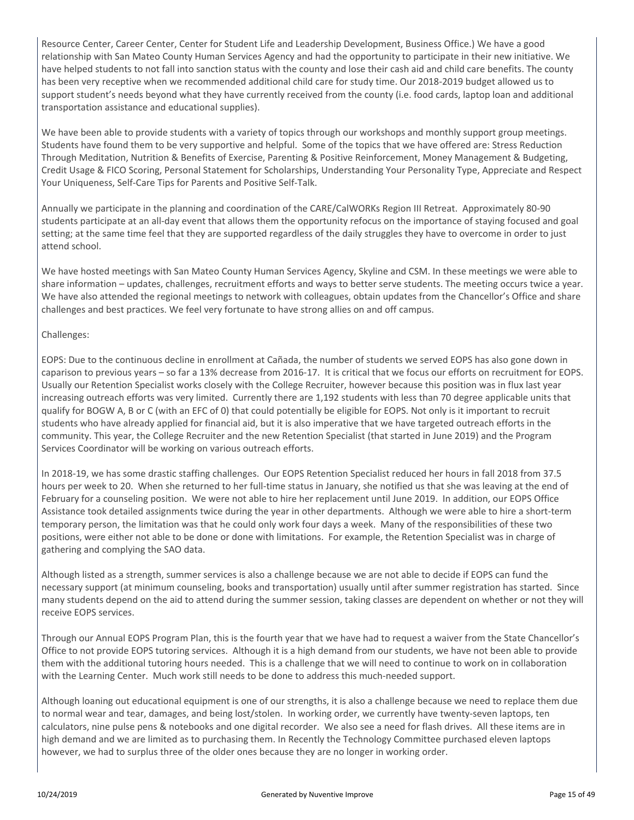Resource Center, Career Center, Center for Student Life and Leadership Development, Business Office.) We have a good relationship with San Mateo County Human Services Agency and had the opportunity to participate in their new initiative. We have helped students to not fall into sanction status with the county and lose their cash aid and child care benefits. The county has been very receptive when we recommended additional child care for study time. Our 2018-2019 budget allowed us to support student's needs beyond what they have currently received from the county (i.e. food cards, laptop loan and additional transportation assistance and educational supplies).

We have been able to provide students with a variety of topics through our workshops and monthly support group meetings. Students have found them to be very supportive and helpful. Some of the topics that we have offered are: Stress Reduction Through Meditation, Nutrition & Benefits of Exercise, Parenting & Positive Reinforcement, Money Management & Budgeting, Credit Usage & FICO Scoring, Personal Statement for Scholarships, Understanding Your Personality Type, Appreciate and Respect Your Uniqueness, Self-Care Tips for Parents and Positive Self-Talk.

Annually we participate in the planning and coordination of the CARE/CalWORKs Region III Retreat. Approximately 80-90 students participate at an all-day event that allows them the opportunity refocus on the importance of staying focused and goal setting; at the same time feel that they are supported regardless of the daily struggles they have to overcome in order to just attend school.

We have hosted meetings with San Mateo County Human Services Agency, Skyline and CSM. In these meetings we were able to share information – updates, challenges, recruitment efforts and ways to better serve students. The meeting occurs twice a year. We have also attended the regional meetings to network with colleagues, obtain updates from the Chancellor's Office and share challenges and best practices. We feel very fortunate to have strong allies on and off campus.

#### Challenges:

EOPS: Due to the continuous decline in enrollment at Cañada, the number of students we served EOPS has also gone down in caparison to previous years – so far a 13% decrease from 2016-17. It is critical that we focus our efforts on recruitment for EOPS. Usually our Retention Specialist works closely with the College Recruiter, however because this position was in flux last year increasing outreach efforts was very limited. Currently there are 1,192 students with less than 70 degree applicable units that qualify for BOGW A, B or C (with an EFC of 0) that could potentially be eligible for EOPS. Not only is it important to recruit students who have already applied for financial aid, but it is also imperative that we have targeted outreach efforts in the community. This year, the College Recruiter and the new Retention Specialist (that started in June 2019) and the Program Services Coordinator will be working on various outreach efforts.

In 2018-19, we has some drastic staffing challenges. Our EOPS Retention Specialist reduced her hours in fall 2018 from 37.5 hours per week to 20. When she returned to her full-time status in January, she notified us that she was leaving at the end of February for a counseling position. We were not able to hire her replacement until June 2019. In addition, our EOPS Office Assistance took detailed assignments twice during the year in other departments. Although we were able to hire a short-term temporary person, the limitation was that he could only work four days a week. Many of the responsibilities of these two positions, were either not able to be done or done with limitations. For example, the Retention Specialist was in charge of gathering and complying the SAO data.

Although listed as a strength, summer services is also a challenge because we are not able to decide if EOPS can fund the necessary support (at minimum counseling, books and transportation) usually until after summer registration has started. Since many students depend on the aid to attend during the summer session, taking classes are dependent on whether or not they will receive EOPS services.

Through our Annual EOPS Program Plan, this is the fourth year that we have had to request a waiver from the State Chancellor's Office to not provide EOPS tutoring services. Although it is a high demand from our students, we have not been able to provide them with the additional tutoring hours needed. This is a challenge that we will need to continue to work on in collaboration with the Learning Center. Much work still needs to be done to address this much-needed support.

Although loaning out educational equipment is one of our strengths, it is also a challenge because we need to replace them due to normal wear and tear, damages, and being lost/stolen. In working order, we currently have twenty-seven laptops, ten calculators, nine pulse pens & notebooks and one digital recorder. We also see a need for flash drives. All these items are in high demand and we are limited as to purchasing them. In Recently the Technology Committee purchased eleven laptops however, we had to surplus three of the older ones because they are no longer in working order.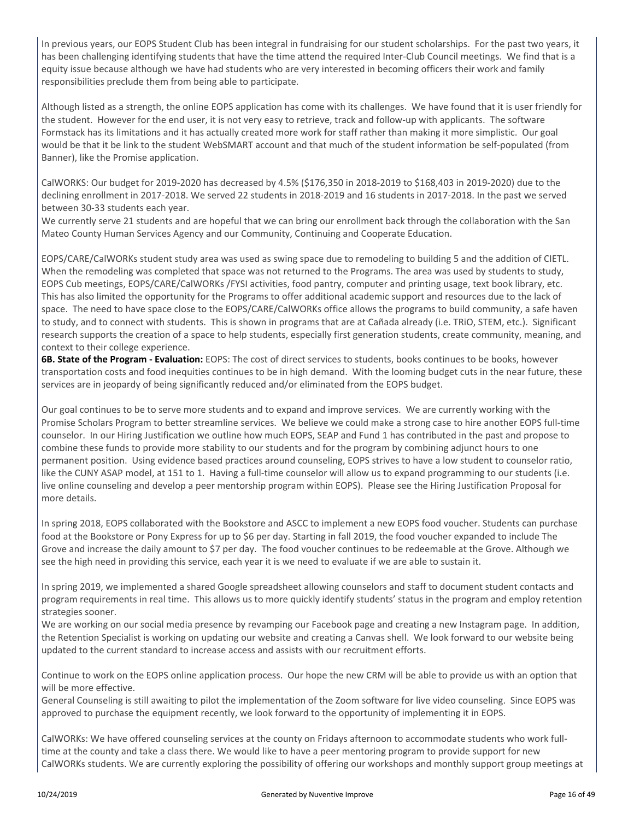In previous years, our EOPS Student Club has been integral in fundraising for our student scholarships. For the past two years, it has been challenging identifying students that have the time attend the required Inter-Club Council meetings. We find that is a equity issue because although we have had students who are very interested in becoming officers their work and family responsibilities preclude them from being able to participate.

Although listed as a strength, the online EOPS application has come with its challenges. We have found that it is user friendly for the student. However for the end user, it is not very easy to retrieve, track and follow-up with applicants. The software Formstack has its limitations and it has actually created more work for staff rather than making it more simplistic. Our goal would be that it be link to the student WebSMART account and that much of the student information be self-populated (from Banner), like the Promise application.

CalWORKS: Our budget for 2019-2020 has decreased by 4.5% (\$176,350 in 2018-2019 to \$168,403 in 2019-2020) due to the declining enrollment in 2017-2018. We served 22 students in 2018-2019 and 16 students in 2017-2018. In the past we served between 30-33 students each year.

We currently serve 21 students and are hopeful that we can bring our enrollment back through the collaboration with the San Mateo County Human Services Agency and our Community, Continuing and Cooperate Education.

EOPS/CARE/CalWORKs student study area was used as swing space due to remodeling to building 5 and the addition of CIETL. When the remodeling was completed that space was not returned to the Programs. The area was used by students to study, EOPS Cub meetings, EOPS/CARE/CalWORKs /FYSI activities, food pantry, computer and printing usage, text book library, etc. This has also limited the opportunity for the Programs to offer additional academic support and resources due to the lack of space. The need to have space close to the EOPS/CARE/CalWORKs office allows the programs to build community, a safe haven to study, and to connect with students. This is shown in programs that are at Cañada already (i.e. TRiO, STEM, etc.). Significant research supports the creation of a space to help students, especially first generation students, create community, meaning, and context to their college experience.

**6B. State of the Program - Evaluation:** EOPS: The cost of direct services to students, books continues to be books, however transportation costs and food inequities continues to be in high demand. With the looming budget cuts in the near future, these services are in jeopardy of being significantly reduced and/or eliminated from the EOPS budget.

Our goal continues to be to serve more students and to expand and improve services. We are currently working with the Promise Scholars Program to better streamline services. We believe we could make a strong case to hire another EOPS full-time counselor. In our Hiring Justification we outline how much EOPS, SEAP and Fund 1 has contributed in the past and propose to combine these funds to provide more stability to our students and for the program by combining adjunct hours to one permanent position. Using evidence based practices around counseling, EOPS strives to have a low student to counselor ratio, like the CUNY ASAP model, at 151 to 1. Having a full-time counselor will allow us to expand programming to our students (i.e. live online counseling and develop a peer mentorship program within EOPS). Please see the Hiring Justification Proposal for more details.

In spring 2018, EOPS collaborated with the Bookstore and ASCC to implement a new EOPS food voucher. Students can purchase food at the Bookstore or Pony Express for up to \$6 per day. Starting in fall 2019, the food voucher expanded to include The Grove and increase the daily amount to \$7 per day. The food voucher continues to be redeemable at the Grove. Although we see the high need in providing this service, each year it is we need to evaluate if we are able to sustain it.

In spring 2019, we implemented a shared Google spreadsheet allowing counselors and staff to document student contacts and program requirements in real time. This allows us to more quickly identify students' status in the program and employ retention strategies sooner.

We are working on our social media presence by revamping our Facebook page and creating a new Instagram page. In addition, the Retention Specialist is working on updating our website and creating a Canvas shell. We look forward to our website being updated to the current standard to increase access and assists with our recruitment efforts.

Continue to work on the EOPS online application process. Our hope the new CRM will be able to provide us with an option that will be more effective.

General Counseling is still awaiting to pilot the implementation of the Zoom software for live video counseling. Since EOPS was approved to purchase the equipment recently, we look forward to the opportunity of implementing it in EOPS.

CalWORKs: We have offered counseling services at the county on Fridays afternoon to accommodate students who work fulltime at the county and take a class there. We would like to have a peer mentoring program to provide support for new CalWORKs students. We are currently exploring the possibility of offering our workshops and monthly support group meetings at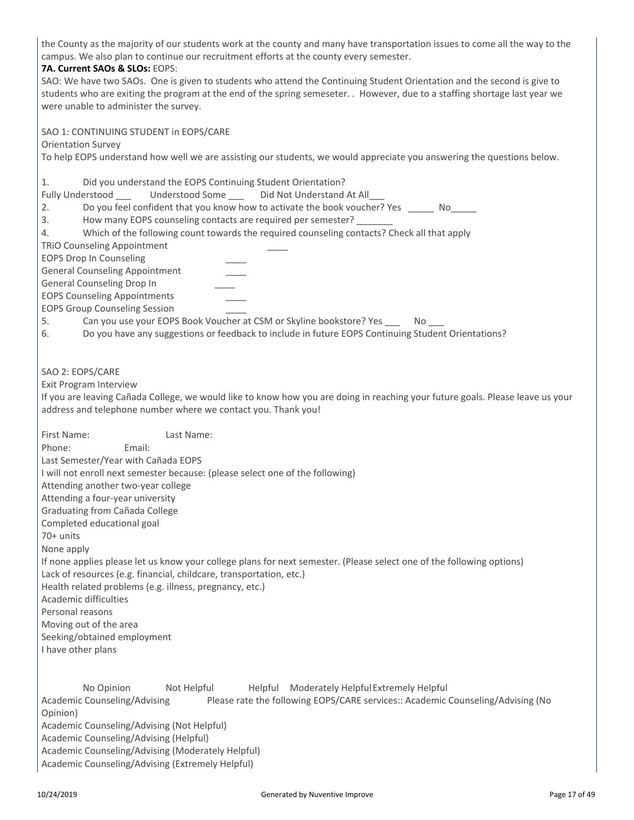the County as the majority of our students work at the county and many have transportation issues to come all the way to the campus. We also plan to continue our recruitment efforts at the county every semester.

#### **7A. Current SAOs & SLOs:** EOPS:

Orientation Survey

SAO 1: CONTINUING STUDENT in EOPS/CARE

SAO: We have two SAOs. One is given to students who attend the Continuing Student Orientation and the second is give to students who are exiting the program at the end of the spring semeseter. . However, due to a staffing shortage last year we were unable to administer the survey.

To help EOPS understand how well we are assisting our students, we would appreciate you answering the questions below. 1. Did you understand the EOPS Continuing Student Orientation? Fully Understood **Land Understood Some** Did Not Understand At All 2. Do you feel confident that you know how to activate the book voucher? Yes No 3. How many EOPS counseling contacts are required per semester? 4. Which of the following count towards the required counseling contacts? Check all that apply TRiO Counseling Appointment \_\_\_\_ EOPS Drop In Counseling \_\_\_\_ General Counseling Appointment \_\_\_\_ General Counseling Drop In \_\_\_\_ EOPS Counseling Appointments \_\_\_\_ EOPS Group Counseling Session \_\_\_\_ 5. Can you use your EOPS Book Voucher at CSM or Skyline bookstore? Yes \_\_\_\_\_ No 6. Do you have any suggestions or feedback to include in future EOPS Continuing Student Orientations? SAO 2: EOPS/CARE Exit Program Interview If you are leaving Cañada College, we would like to know how you are doing in reaching your future goals. Please leave us your address and telephone number where we contact you. Thank you! First Name: Last Name: Phone: Email: Last Semester/Year with Cañada EOPS I will not enroll next semester because: (please select one of the following) Attending another two-year college Attending a four-year university Graduating from Cañada College Completed educational goal 70+ units None apply If none applies please let us know your college plans for next semester. (Please select one of the following options) Lack of resources (e.g. financial, childcare, transportation, etc.) Health related problems (e.g. illness, pregnancy, etc.) Academic difficulties Personal reasons Moving out of the area Seeking/obtained employment I have other plans

No Opinion Mot Helpful Helpful Moderately Helpful Extremely Helpful Academic Counseling/Advising Please rate the following EOPS/CARE services:: Academic Counseling/Advising (No Opinion) Academic Counseling/Advising (Not Helpful) Academic Counseling/Advising (Helpful) Academic Counseling/Advising (Moderately Helpful) Academic Counseling/Advising (Extremely Helpful)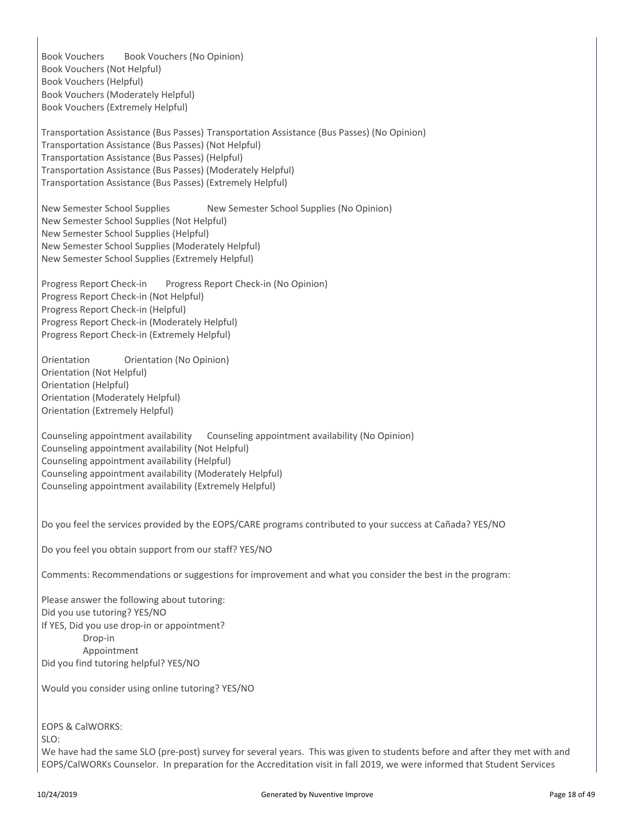Book Vouchers Book Vouchers (No Opinion) Book Vouchers (Not Helpful) Book Vouchers (Helpful) Book Vouchers (Moderately Helpful) Book Vouchers (Extremely Helpful)

Transportation Assistance (Bus Passes) Transportation Assistance (Bus Passes) (No Opinion) Transportation Assistance (Bus Passes) (Not Helpful) Transportation Assistance (Bus Passes) (Helpful) Transportation Assistance (Bus Passes) (Moderately Helpful) Transportation Assistance (Bus Passes) (Extremely Helpful)

New Semester School Supplies New Semester School Supplies (No Opinion) New Semester School Supplies (Not Helpful) New Semester School Supplies (Helpful) New Semester School Supplies (Moderately Helpful) New Semester School Supplies (Extremely Helpful)

Progress Report Check-in Progress Report Check-in (No Opinion) Progress Report Check-in (Not Helpful) Progress Report Check-in (Helpful) Progress Report Check-in (Moderately Helpful) Progress Report Check-in (Extremely Helpful)

Orientation Orientation (No Opinion) Orientation (Not Helpful) Orientation (Helpful) Orientation (Moderately Helpful) Orientation (Extremely Helpful)

Counseling appointment availability Counseling appointment availability (No Opinion) Counseling appointment availability (Not Helpful) Counseling appointment availability (Helpful) Counseling appointment availability (Moderately Helpful) Counseling appointment availability (Extremely Helpful)

Do you feel the services provided by the EOPS/CARE programs contributed to your success at Cañada? YES/NO

Do you feel you obtain support from our staff? YES/NO

Comments: Recommendations or suggestions for improvement and what you consider the best in the program:

Please answer the following about tutoring: Did you use tutoring? YES/NO If YES, Did you use drop-in or appointment? Drop-in Appointment Did you find tutoring helpful? YES/NO

Would you consider using online tutoring? YES/NO

EOPS & CalWORKS:

SLO:

We have had the same SLO (pre-post) survey for several years. This was given to students before and after they met with and EOPS/CalWORKs Counselor. In preparation for the Accreditation visit in fall 2019, we were informed that Student Services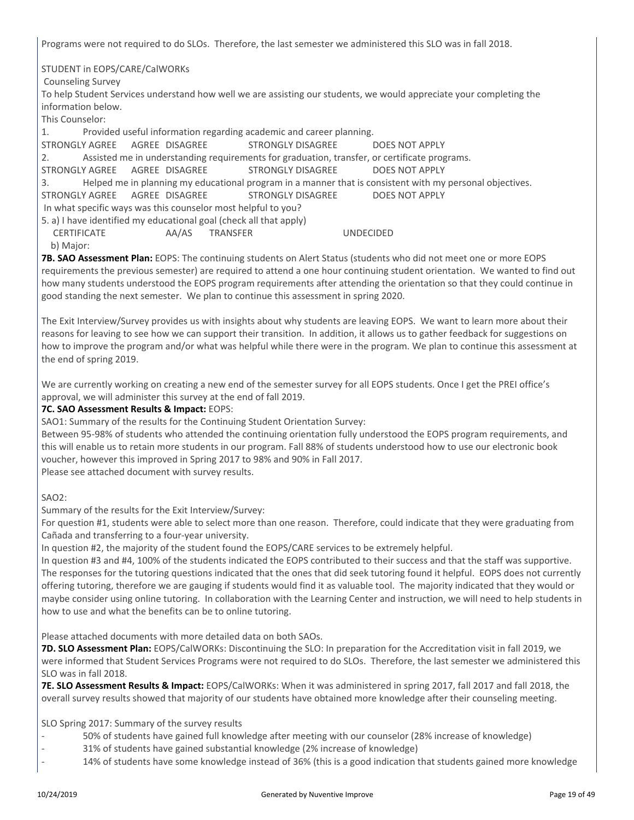Programs were not required to do SLOs. Therefore, the last semester we administered this SLO was in fall 2018.

STUDENT in EOPS/CARE/CalWORKs

Counseling Survey

To help Student Services understand how well we are assisting our students, we would appreciate your completing the information below.

This Counselor:

1. Provided useful information regarding academic and career planning.

STRONGLY AGREE AGREE DISAGREE STRONGLY DISAGREE DOES NOT APPLY

2. Assisted me in understanding requirements for graduation, transfer, or certificate programs.

STRONGLY AGREE AGREE DISAGREE STRONGLY DISAGREE DOES NOT APPLY

3. Helped me in planning my educational program in a manner that is consistent with my personal objectives.

STRONGLY AGREE AGREE DISAGREE STRONGLY DISAGREE DOES NOT APPLY

In what specific ways was this counselor most helpful to you?

5. a) I have identified my educational goal (check all that apply)

 CERTIFICATE AA/AS TRANSFER UNDECIDED b) Major:

**7B. SAO Assessment Plan:** EOPS: The continuing students on Alert Status (students who did not meet one or more EOPS requirements the previous semester) are required to attend a one hour continuing student orientation. We wanted to find out how many students understood the EOPS program requirements after attending the orientation so that they could continue in good standing the next semester. We plan to continue this assessment in spring 2020.

The Exit Interview/Survey provides us with insights about why students are leaving EOPS. We want to learn more about their reasons for leaving to see how we can support their transition. In addition, it allows us to gather feedback for suggestions on how to improve the program and/or what was helpful while there were in the program. We plan to continue this assessment at the end of spring 2019.

We are currently working on creating a new end of the semester survey for all EOPS students. Once I get the PREI office's approval, we will administer this survey at the end of fall 2019.

#### **7C. SAO Assessment Results & Impact:** EOPS:

SAO1: Summary of the results for the Continuing Student Orientation Survey:

Between 95-98% of students who attended the continuing orientation fully understood the EOPS program requirements, and this will enable us to retain more students in our program. Fall 88% of students understood how to use our electronic book voucher, however this improved in Spring 2017 to 98% and 90% in Fall 2017. Please see attached document with survey results.

#### SAO2:

Summary of the results for the Exit Interview/Survey:

For question #1, students were able to select more than one reason. Therefore, could indicate that they were graduating from Cañada and transferring to a four-year university.

In question #2, the majority of the student found the EOPS/CARE services to be extremely helpful.

In question #3 and #4, 100% of the students indicated the EOPS contributed to their success and that the staff was supportive. The responses for the tutoring questions indicated that the ones that did seek tutoring found it helpful. EOPS does not currently offering tutoring, therefore we are gauging if students would find it as valuable tool. The majority indicated that they would or maybe consider using online tutoring. In collaboration with the Learning Center and instruction, we will need to help students in how to use and what the benefits can be to online tutoring.

Please attached documents with more detailed data on both SAOs.

**7D. SLO Assessment Plan:** EOPS/CalWORKs: Discontinuing the SLO: In preparation for the Accreditation visit in fall 2019, we were informed that Student Services Programs were not required to do SLOs. Therefore, the last semester we administered this SLO was in fall 2018.

**7E. SLO Assessment Results & Impact:** EOPS/CalWORKs: When it was administered in spring 2017, fall 2017 and fall 2018, the overall survey results showed that majority of our students have obtained more knowledge after their counseling meeting.

SLO Spring 2017: Summary of the survey results

- 50% of students have gained full knowledge after meeting with our counselor (28% increase of knowledge)
- 31% of students have gained substantial knowledge (2% increase of knowledge)
- 14% of students have some knowledge instead of 36% (this is a good indication that students gained more knowledge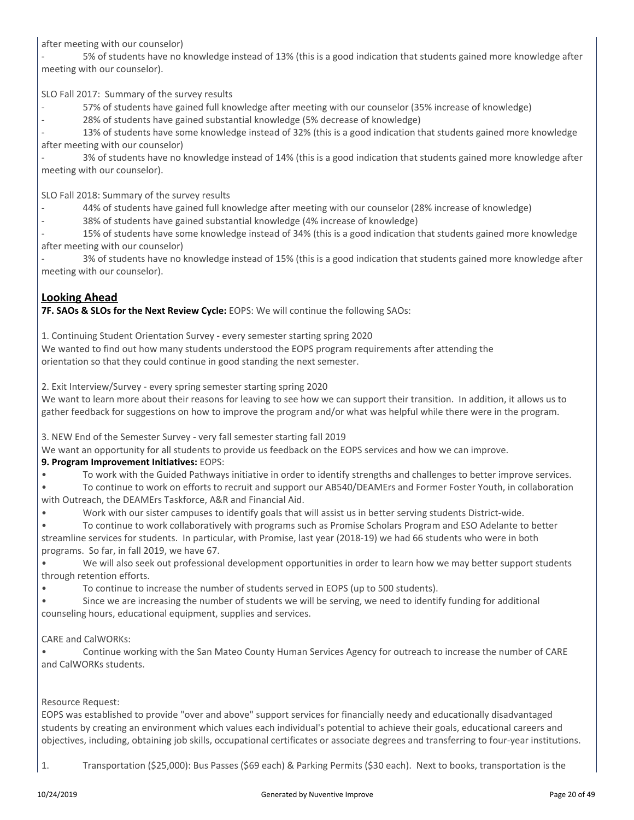after meeting with our counselor)

5% of students have no knowledge instead of 13% (this is a good indication that students gained more knowledge after meeting with our counselor).

SLO Fall 2017: Summary of the survey results

- 57% of students have gained full knowledge after meeting with our counselor (35% increase of knowledge)
- 28% of students have gained substantial knowledge (5% decrease of knowledge)

13% of students have some knowledge instead of 32% (this is a good indication that students gained more knowledge after meeting with our counselor)

3% of students have no knowledge instead of 14% (this is a good indication that students gained more knowledge after meeting with our counselor).

SLO Fall 2018: Summary of the survey results

- 44% of students have gained full knowledge after meeting with our counselor (28% increase of knowledge)
- 38% of students have gained substantial knowledge (4% increase of knowledge)

15% of students have some knowledge instead of 34% (this is a good indication that students gained more knowledge after meeting with our counselor)

- 3% of students have no knowledge instead of 15% (this is a good indication that students gained more knowledge after meeting with our counselor).

### **Looking Ahead**

**7F. SAOs & SLOs for the Next Review Cycle:** EOPS: We will continue the following SAOs:

1. Continuing Student Orientation Survey - every semester starting spring 2020

We wanted to find out how many students understood the EOPS program requirements after attending the orientation so that they could continue in good standing the next semester.

2. Exit Interview/Survey - every spring semester starting spring 2020

We want to learn more about their reasons for leaving to see how we can support their transition. In addition, it allows us to gather feedback for suggestions on how to improve the program and/or what was helpful while there were in the program.

3. NEW End of the Semester Survey - very fall semester starting fall 2019

We want an opportunity for all students to provide us feedback on the EOPS services and how we can improve.

#### **9. Program Improvement Initiatives:** EOPS:

• To work with the Guided Pathways initiative in order to identify strengths and challenges to better improve services.

• To continue to work on efforts to recruit and support our AB540/DEAMErs and Former Foster Youth, in collaboration with Outreach, the DEAMErs Taskforce, A&R and Financial Aid.

• Work with our sister campuses to identify goals that will assist us in better serving students District-wide.

• To continue to work collaboratively with programs such as Promise Scholars Program and ESO Adelante to better streamline services for students. In particular, with Promise, last year (2018-19) we had 66 students who were in both programs. So far, in fall 2019, we have 67.

• We will also seek out professional development opportunities in order to learn how we may better support students through retention efforts.

• To continue to increase the number of students served in EOPS (up to 500 students).

• Since we are increasing the number of students we will be serving, we need to identify funding for additional counseling hours, educational equipment, supplies and services.

#### CARE and CalWORKs:

• Continue working with the San Mateo County Human Services Agency for outreach to increase the number of CARE and CalWORKs students.

#### Resource Request:

EOPS was established to provide "over and above" support services for financially needy and educationally disadvantaged students by creating an environment which values each individual's potential to achieve their goals, educational careers and objectives, including, obtaining job skills, occupational certificates or associate degrees and transferring to four-year institutions.

1. Transportation (\$25,000): Bus Passes (\$69 each) & Parking Permits (\$30 each). Next to books, transportation is the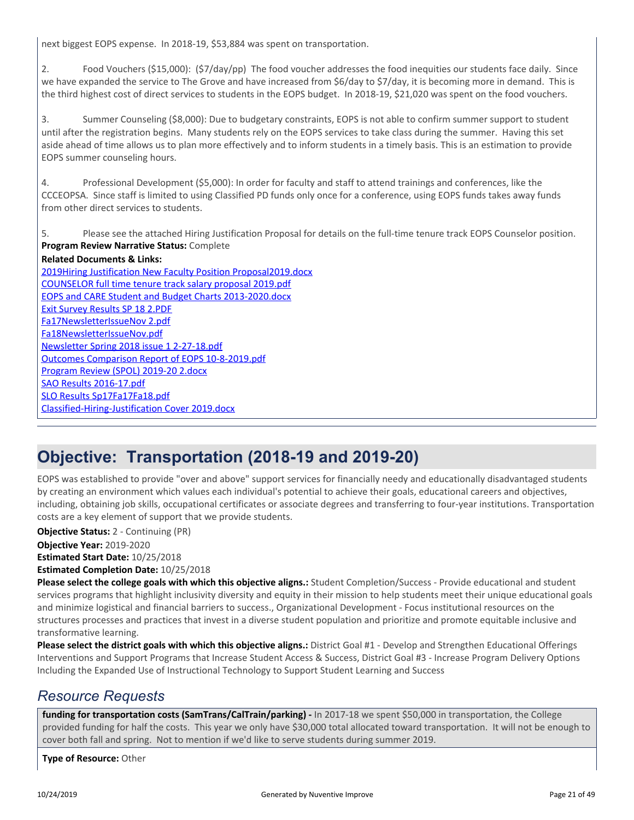next biggest EOPS expense. In 2018-19, \$53,884 was spent on transportation.

2. Food Vouchers (\$15,000): (\$7/day/pp) The food voucher addresses the food inequities our students face daily. Since we have expanded the service to The Grove and have increased from \$6/day to \$7/day, it is becoming more in demand. This is the third highest cost of direct services to students in the EOPS budget. In 2018-19, \$21,020 was spent on the food vouchers.

3. Summer Counseling (\$8,000): Due to budgetary constraints, EOPS is not able to confirm summer support to student until after the registration begins. Many students rely on the EOPS services to take class during the summer. Having this set aside ahead of time allows us to plan more effectively and to inform students in a timely basis. This is an estimation to provide EOPS summer counseling hours.

4. Professional Development (\$5,000): In order for faculty and staff to attend trainings and conferences, like the CCCEOPSA. Since staff is limited to using Classified PD funds only once for a conference, using EOPS funds takes away funds from other direct services to students.

5. Please see the attached Hiring Justification Proposal for details on the full-time tenure track EOPS Counselor position. **Program Review Narrative Status:** Complete

**Related Documents & Links:** [2019Hiring Justification New Faculty Position Proposal2019.docx](https://sanmateo.tracdat.com:443/tracdat/viewDocument?y=CS4yKbTrFWip) [COUNSELOR full time tenure track salary proposal 2019.pdf](https://sanmateo.tracdat.com:443/tracdat/viewDocument?y=3PmJgXkjRGMu) [EOPS and CARE Student and Budget Charts 2013-2020.docx](https://sanmateo.tracdat.com:443/tracdat/viewDocument?y=BqNdoOknKRhf) [Exit Survey Results SP 18 2.PDF](https://sanmateo.tracdat.com:443/tracdat/viewDocument?y=vMMnFN9R22nT) [Fa17NewsletterIssueNov 2.pdf](https://sanmateo.tracdat.com:443/tracdat/viewDocument?y=fbrgfMPZMpSW) [Fa18NewsletterIssueNov.pdf](https://sanmateo.tracdat.com:443/tracdat/viewDocument?y=SrlLWpTwKphl) [Newsletter Spring 2018 issue 1 2-27-18.pdf](https://sanmateo.tracdat.com:443/tracdat/viewDocument?y=AAgtbT7r2lio) [Outcomes Comparison Report of EOPS 10-8-2019.pdf](https://sanmateo.tracdat.com:443/tracdat/viewDocument?y=WAO2Xre8j6ao) [Program Review \(SPOL\) 2019-20 2.docx](https://sanmateo.tracdat.com:443/tracdat/viewDocument?y=ZBCIZ3AO7kJ2) [SAO Results 2016-17.pdf](https://sanmateo.tracdat.com:443/tracdat/viewDocument?y=sJh4ojYulFBi) [SLO Results Sp17Fa17Fa18.pdf](https://sanmateo.tracdat.com:443/tracdat/viewDocument?y=fMHqQbQleeRN) [Classified-Hiring-Justification Cover 2019.docx](https://sanmateo.tracdat.com:443/tracdat/viewDocument?y=paWPXyPTO9ub)

### **Objective: Transportation (2018-19 and 2019-20)**

EOPS was established to provide "over and above" support services for financially needy and educationally disadvantaged students by creating an environment which values each individual's potential to achieve their goals, educational careers and objectives, including, obtaining job skills, occupational certificates or associate degrees and transferring to four-year institutions. Transportation costs are a key element of support that we provide students.

**Objective Year:** 2019-2020 **Estimated Start Date:** 10/25/2018 **Estimated Completion Date:** 10/25/2018 **Objective Status:** 2 - Continuing (PR)

**Please select the college goals with which this objective aligns.:** Student Completion/Success - Provide educational and student services programs that highlight inclusivity diversity and equity in their mission to help students meet their unique educational goals and minimize logistical and financial barriers to success., Organizational Development - Focus institutional resources on the structures processes and practices that invest in a diverse student population and prioritize and promote equitable inclusive and transformative learning.

**Please select the district goals with which this objective aligns.:** District Goal #1 - Develop and Strengthen Educational Offerings Interventions and Support Programs that Increase Student Access & Success, District Goal #3 - Increase Program Delivery Options Including the Expanded Use of Instructional Technology to Support Student Learning and Success

### *Resource Requests*

funding for transportation costs (SamTrans/CalTrain/parking) - In 2017-18 we spent \$50,000 in transportation, the College provided funding for half the costs. This year we only have \$30,000 total allocated toward transportation. It will not be enough to cover both fall and spring. Not to mention if we'd like to serve students during summer 2019.

**Type of Resource:** Other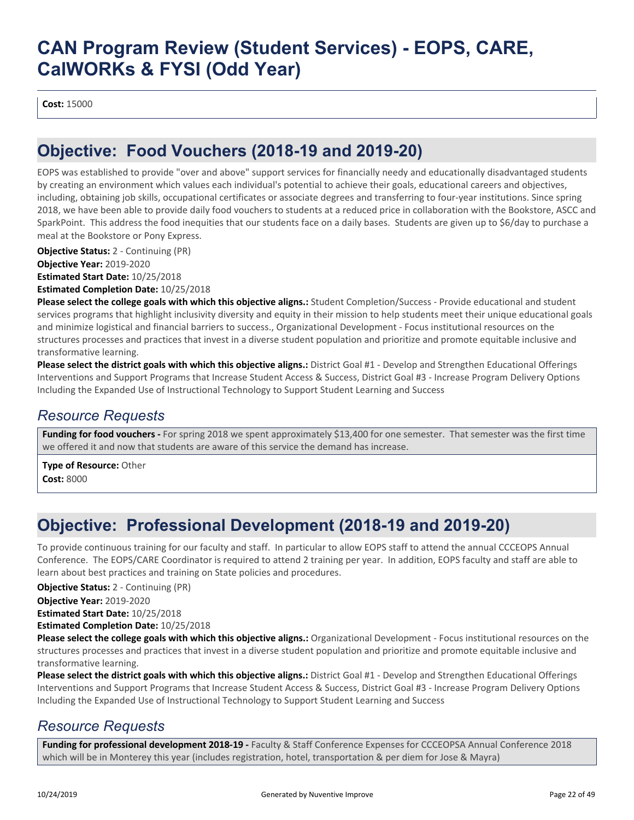**Cost:** 15000

## **Objective: Food Vouchers (2018-19 and 2019-20)**

EOPS was established to provide "over and above" support services for financially needy and educationally disadvantaged students by creating an environment which values each individual's potential to achieve their goals, educational careers and objectives, including, obtaining job skills, occupational certificates or associate degrees and transferring to four-year institutions. Since spring 2018, we have been able to provide daily food vouchers to students at a reduced price in collaboration with the Bookstore, ASCC and SparkPoint. This address the food inequities that our students face on a daily bases. Students are given up to \$6/day to purchase a meal at the Bookstore or Pony Express.

**Objective Status:** 2 - Continuing (PR)

**Objective Year:** 2019-2020

**Estimated Start Date:** 10/25/2018

**Estimated Completion Date:** 10/25/2018

**Please select the college goals with which this objective aligns.:** Student Completion/Success - Provide educational and student services programs that highlight inclusivity diversity and equity in their mission to help students meet their unique educational goals and minimize logistical and financial barriers to success., Organizational Development - Focus institutional resources on the structures processes and practices that invest in a diverse student population and prioritize and promote equitable inclusive and transformative learning.

**Please select the district goals with which this objective aligns.:** District Goal #1 - Develop and Strengthen Educational Offerings Interventions and Support Programs that Increase Student Access & Success, District Goal #3 - Increase Program Delivery Options Including the Expanded Use of Instructional Technology to Support Student Learning and Success

### *Resource Requests*

**Funding for food vouchers -** For spring 2018 we spent approximately \$13,400 for one semester. That semester was the first time we offered it and now that students are aware of this service the demand has increase.

**Type of Resource:** Other **Cost:** 8000

## **Objective: Professional Development (2018-19 and 2019-20)**

To provide continuous training for our faculty and staff. In particular to allow EOPS staff to attend the annual CCCEOPS Annual Conference. The EOPS/CARE Coordinator is required to attend 2 training per year. In addition, EOPS faculty and staff are able to learn about best practices and training on State policies and procedures.

**Objective Status:** 2 - Continuing (PR)

**Objective Year:** 2019-2020

**Estimated Start Date:** 10/25/2018

**Estimated Completion Date:** 10/25/2018

**Please select the college goals with which this objective aligns.:** Organizational Development - Focus institutional resources on the structures processes and practices that invest in a diverse student population and prioritize and promote equitable inclusive and transformative learning.

**Please select the district goals with which this objective aligns.:** District Goal #1 - Develop and Strengthen Educational Offerings Interventions and Support Programs that Increase Student Access & Success, District Goal #3 - Increase Program Delivery Options Including the Expanded Use of Instructional Technology to Support Student Learning and Success

### *Resource Requests*

**Funding for professional development 2018-19 -** Faculty & Staff Conference Expenses for CCCEOPSA Annual Conference 2018 which will be in Monterey this year (includes registration, hotel, transportation & per diem for Jose & Mayra)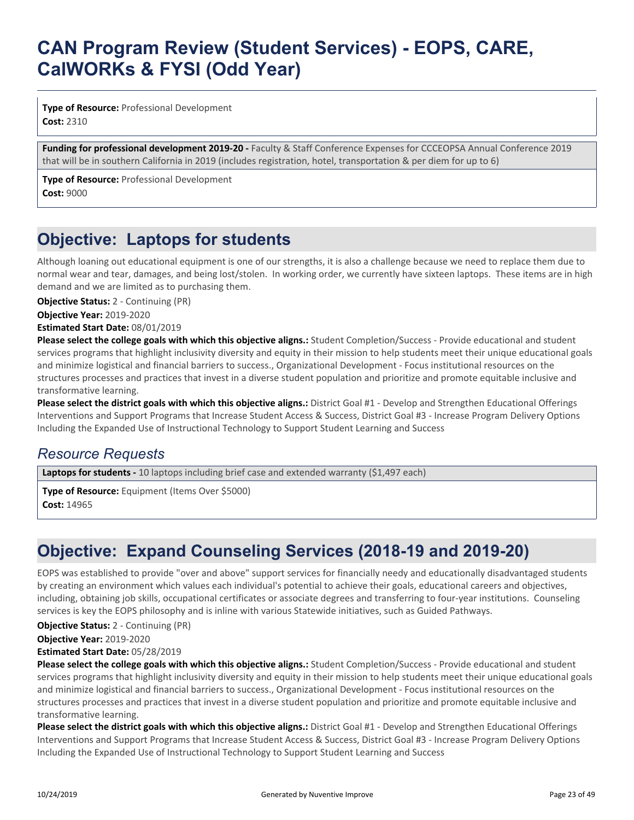**Type of Resource:** Professional Development **Cost:** 2310

**Funding for professional development 2019-20 -** Faculty & Staff Conference Expenses for CCCEOPSA Annual Conference 2019 that will be in southern California in 2019 (includes registration, hotel, transportation & per diem for up to 6)

**Type of Resource:** Professional Development **Cost:** 9000

## **Objective: Laptops for students**

Although loaning out educational equipment is one of our strengths, it is also a challenge because we need to replace them due to normal wear and tear, damages, and being lost/stolen. In working order, we currently have sixteen laptops. These items are in high demand and we are limited as to purchasing them.

**Objective Status:** 2 - Continuing (PR)

**Objective Year:** 2019-2020

**Estimated Start Date:** 08/01/2019

**Please select the college goals with which this objective aligns.:** Student Completion/Success - Provide educational and student services programs that highlight inclusivity diversity and equity in their mission to help students meet their unique educational goals and minimize logistical and financial barriers to success., Organizational Development - Focus institutional resources on the structures processes and practices that invest in a diverse student population and prioritize and promote equitable inclusive and transformative learning.

**Please select the district goals with which this objective aligns.:** District Goal #1 - Develop and Strengthen Educational Offerings Interventions and Support Programs that Increase Student Access & Success, District Goal #3 - Increase Program Delivery Options Including the Expanded Use of Instructional Technology to Support Student Learning and Success

### *Resource Requests*

Laptops for students - 10 laptops including brief case and extended warranty (\$1,497 each)

**Type of Resource:** Equipment (Items Over \$5000) **Cost:** 14965

## **Objective: Expand Counseling Services (2018-19 and 2019-20)**

EOPS was established to provide "over and above" support services for financially needy and educationally disadvantaged students by creating an environment which values each individual's potential to achieve their goals, educational careers and objectives, including, obtaining job skills, occupational certificates or associate degrees and transferring to four-year institutions. Counseling services is key the EOPS philosophy and is inline with various Statewide initiatives, such as Guided Pathways.

**Objective Status:** 2 - Continuing (PR)

**Objective Year:** 2019-2020 **Estimated Start Date:** 05/28/2019

**Please select the college goals with which this objective aligns.:** Student Completion/Success - Provide educational and student services programs that highlight inclusivity diversity and equity in their mission to help students meet their unique educational goals and minimize logistical and financial barriers to success., Organizational Development - Focus institutional resources on the structures processes and practices that invest in a diverse student population and prioritize and promote equitable inclusive and transformative learning.

**Please select the district goals with which this objective aligns.:** District Goal #1 - Develop and Strengthen Educational Offerings Interventions and Support Programs that Increase Student Access & Success, District Goal #3 - Increase Program Delivery Options Including the Expanded Use of Instructional Technology to Support Student Learning and Success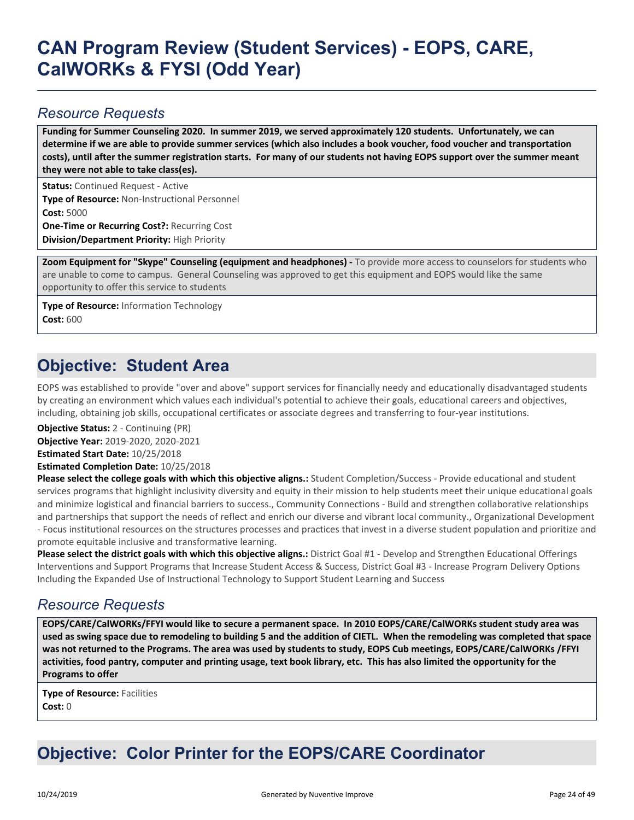### *Resource Requests*

**Funding for Summer Counseling 2020. In summer 2019, we served approximately 120 students. Unfortunately, we can determine if we are able to provide summer services (which also includes a book voucher, food voucher and transportation costs), until after the summer registration starts. For many of our students not having EOPS support over the summer meant they were not able to take class(es).**

**Status:** Continued Request - Active **Type of Resource:** Non-Instructional Personnel **Cost:** 5000 **One-Time or Recurring Cost?:** Recurring Cost

**Division/Department Priority:** High Priority

**Zoom Equipment for "Skype" Counseling (equipment and headphones) -** To provide more access to counselors for students who are unable to come to campus. General Counseling was approved to get this equipment and EOPS would like the same opportunity to offer this service to students

**Type of Resource:** Information Technology **Cost:** 600

### **Objective: Student Area**

EOPS was established to provide "over and above" support services for financially needy and educationally disadvantaged students by creating an environment which values each individual's potential to achieve their goals, educational careers and objectives, including, obtaining job skills, occupational certificates or associate degrees and transferring to four-year institutions.

**Objective Status:** 2 - Continuing (PR)

**Objective Year:** 2019-2020, 2020-2021

**Estimated Start Date:** 10/25/2018

**Estimated Completion Date:** 10/25/2018

**Please select the college goals with which this objective aligns.:** Student Completion/Success - Provide educational and student services programs that highlight inclusivity diversity and equity in their mission to help students meet their unique educational goals and minimize logistical and financial barriers to success., Community Connections - Build and strengthen collaborative relationships and partnerships that support the needs of reflect and enrich our diverse and vibrant local community., Organizational Development - Focus institutional resources on the structures processes and practices that invest in a diverse student population and prioritize and promote equitable inclusive and transformative learning.

**Please select the district goals with which this objective aligns.:** District Goal #1 - Develop and Strengthen Educational Offerings Interventions and Support Programs that Increase Student Access & Success, District Goal #3 - Increase Program Delivery Options Including the Expanded Use of Instructional Technology to Support Student Learning and Success

### *Resource Requests*

**EOPS/CARE/CalWORKs/FFYI would like to secure a permanent space. In 2010 EOPS/CARE/CalWORKs student study area was used as swing space due to remodeling to building 5 and the addition of CIETL. When the remodeling was completed that space was not returned to the Programs. The area was used by students to study, EOPS Cub meetings, EOPS/CARE/CalWORKs /FFYI activities, food pantry, computer and printing usage, text book library, etc. This has also limited the opportunity for the Programs to offer**

**Type of Resource:** Facilities **Cost:** 0

## **Objective: Color Printer for the EOPS/CARE Coordinator**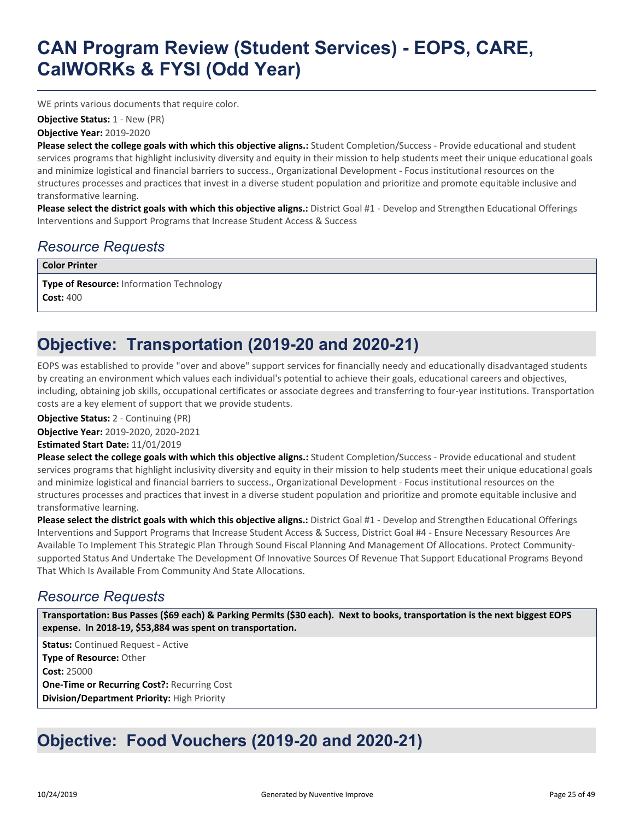WE prints various documents that require color.

**Objective Status:** 1 - New (PR)

**Objective Year:** 2019-2020

**Please select the college goals with which this objective aligns.:** Student Completion/Success - Provide educational and student services programs that highlight inclusivity diversity and equity in their mission to help students meet their unique educational goals and minimize logistical and financial barriers to success., Organizational Development - Focus institutional resources on the structures processes and practices that invest in a diverse student population and prioritize and promote equitable inclusive and transformative learning.

**Please select the district goals with which this objective aligns.:** District Goal #1 - Develop and Strengthen Educational Offerings Interventions and Support Programs that Increase Student Access & Success

### *Resource Requests*

**Color Printer**

**Type of Resource:** Information Technology **Cost:** 400

## **Objective: Transportation (2019-20 and 2020-21)**

EOPS was established to provide "over and above" support services for financially needy and educationally disadvantaged students by creating an environment which values each individual's potential to achieve their goals, educational careers and objectives, including, obtaining job skills, occupational certificates or associate degrees and transferring to four-year institutions. Transportation costs are a key element of support that we provide students.

**Objective Status:** 2 - Continuing (PR)

**Objective Year:** 2019-2020, 2020-2021

**Estimated Start Date:** 11/01/2019

**Please select the college goals with which this objective aligns.:** Student Completion/Success - Provide educational and student services programs that highlight inclusivity diversity and equity in their mission to help students meet their unique educational goals and minimize logistical and financial barriers to success., Organizational Development - Focus institutional resources on the structures processes and practices that invest in a diverse student population and prioritize and promote equitable inclusive and transformative learning.

**Please select the district goals with which this objective aligns.:** District Goal #1 - Develop and Strengthen Educational Offerings Interventions and Support Programs that Increase Student Access & Success, District Goal #4 - Ensure Necessary Resources Are Available To Implement This Strategic Plan Through Sound Fiscal Planning And Management Of Allocations. Protect Communitysupported Status And Undertake The Development Of Innovative Sources Of Revenue That Support Educational Programs Beyond That Which Is Available From Community And State Allocations.

### *Resource Requests*

**Transportation: Bus Passes (\$69 each) & Parking Permits (\$30 each). Next to books, transportation is the next biggest EOPS expense. In 2018-19, \$53,884 was spent on transportation.**

**Status:** Continued Request - Active **Type of Resource:** Other **Cost:** 25000 **One-Time or Recurring Cost?:** Recurring Cost **Division/Department Priority:** High Priority

## **Objective: Food Vouchers (2019-20 and 2020-21)**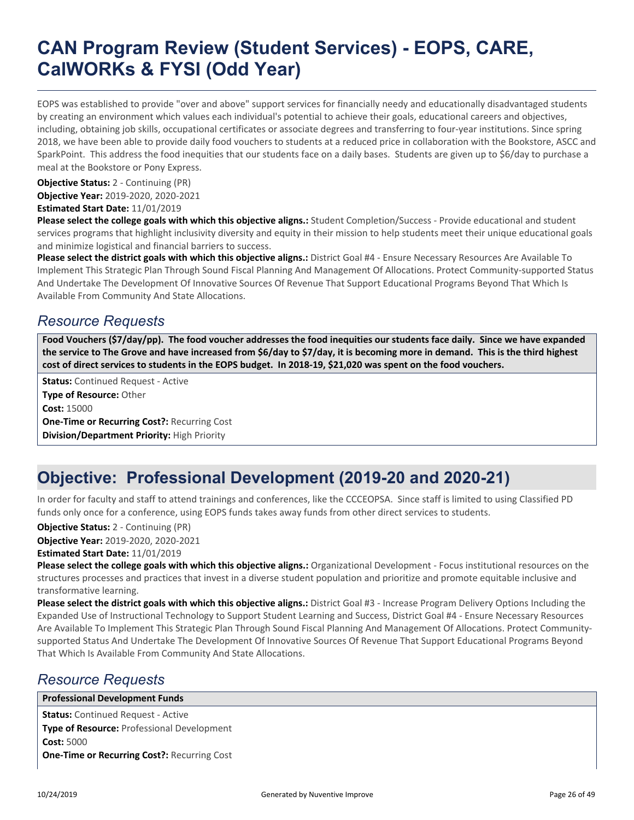EOPS was established to provide "over and above" support services for financially needy and educationally disadvantaged students by creating an environment which values each individual's potential to achieve their goals, educational careers and objectives, including, obtaining job skills, occupational certificates or associate degrees and transferring to four-year institutions. Since spring 2018, we have been able to provide daily food vouchers to students at a reduced price in collaboration with the Bookstore, ASCC and SparkPoint. This address the food inequities that our students face on a daily bases. Students are given up to \$6/day to purchase a meal at the Bookstore or Pony Express.

**Objective Status:** 2 - Continuing (PR)

**Objective Year:** 2019-2020, 2020-2021

**Estimated Start Date:** 11/01/2019

**Please select the college goals with which this objective aligns.:** Student Completion/Success - Provide educational and student services programs that highlight inclusivity diversity and equity in their mission to help students meet their unique educational goals and minimize logistical and financial barriers to success.

**Please select the district goals with which this objective aligns.:** District Goal #4 - Ensure Necessary Resources Are Available To Implement This Strategic Plan Through Sound Fiscal Planning And Management Of Allocations. Protect Community-supported Status And Undertake The Development Of Innovative Sources Of Revenue That Support Educational Programs Beyond That Which Is Available From Community And State Allocations.

### *Resource Requests*

**Food Vouchers (\$7/day/pp). The food voucher addresses the food inequities our students face daily. Since we have expanded the service to The Grove and have increased from \$6/day to \$7/day, it is becoming more in demand. This is the third highest cost of direct services to students in the EOPS budget. In 2018-19, \$21,020 was spent on the food vouchers.**

**Status:** Continued Request - Active **Type of Resource:** Other **Cost:** 15000 **One-Time or Recurring Cost?:** Recurring Cost **Division/Department Priority:** High Priority

## **Objective: Professional Development (2019-20 and 2020-21)**

In order for faculty and staff to attend trainings and conferences, like the CCCEOPSA. Since staff is limited to using Classified PD funds only once for a conference, using EOPS funds takes away funds from other direct services to students.

**Objective Status:** 2 - Continuing (PR)

**Objective Year:** 2019-2020, 2020-2021

**Estimated Start Date:** 11/01/2019

**Please select the college goals with which this objective aligns.:** Organizational Development - Focus institutional resources on the structures processes and practices that invest in a diverse student population and prioritize and promote equitable inclusive and transformative learning.

**Please select the district goals with which this objective aligns.:** District Goal #3 - Increase Program Delivery Options Including the Expanded Use of Instructional Technology to Support Student Learning and Success, District Goal #4 - Ensure Necessary Resources Are Available To Implement This Strategic Plan Through Sound Fiscal Planning And Management Of Allocations. Protect Communitysupported Status And Undertake The Development Of Innovative Sources Of Revenue That Support Educational Programs Beyond That Which Is Available From Community And State Allocations.

### *Resource Requests*

**Professional Development Funds**

**Status:** Continued Request - Active **Type of Resource:** Professional Development **Cost:** 5000 **One-Time or Recurring Cost?:** Recurring Cost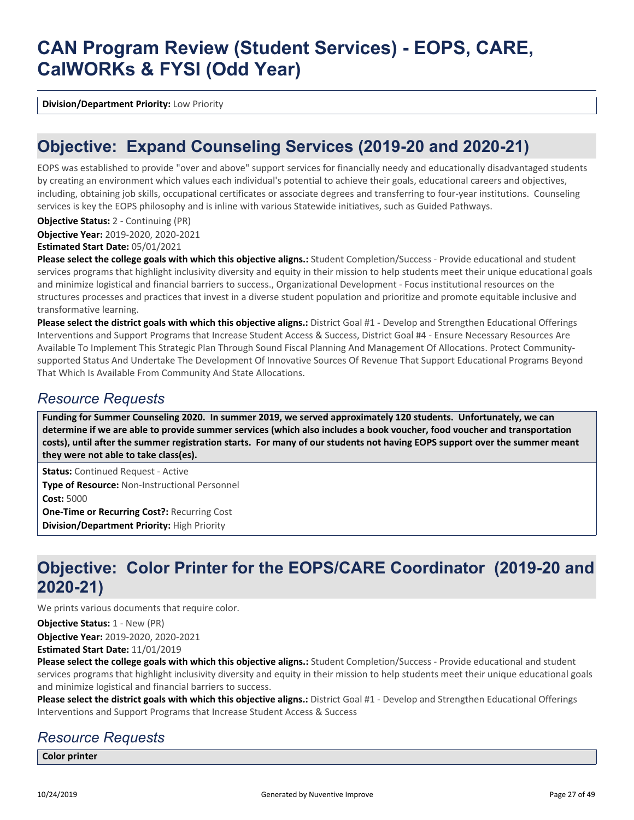**Division/Department Priority:** Low Priority

### **Objective: Expand Counseling Services (2019-20 and 2020-21)**

EOPS was established to provide "over and above" support services for financially needy and educationally disadvantaged students by creating an environment which values each individual's potential to achieve their goals, educational careers and objectives, including, obtaining job skills, occupational certificates or associate degrees and transferring to four-year institutions. Counseling services is key the EOPS philosophy and is inline with various Statewide initiatives, such as Guided Pathways.

#### **Objective Status:** 2 - Continuing (PR)

**Objective Year:** 2019-2020, 2020-2021

#### **Estimated Start Date:** 05/01/2021

**Please select the college goals with which this objective aligns.:** Student Completion/Success - Provide educational and student services programs that highlight inclusivity diversity and equity in their mission to help students meet their unique educational goals and minimize logistical and financial barriers to success., Organizational Development - Focus institutional resources on the structures processes and practices that invest in a diverse student population and prioritize and promote equitable inclusive and transformative learning.

**Please select the district goals with which this objective aligns.:** District Goal #1 - Develop and Strengthen Educational Offerings Interventions and Support Programs that Increase Student Access & Success, District Goal #4 - Ensure Necessary Resources Are Available To Implement This Strategic Plan Through Sound Fiscal Planning And Management Of Allocations. Protect Communitysupported Status And Undertake The Development Of Innovative Sources Of Revenue That Support Educational Programs Beyond That Which Is Available From Community And State Allocations.

### *Resource Requests*

**Funding for Summer Counseling 2020. In summer 2019, we served approximately 120 students. Unfortunately, we can determine if we are able to provide summer services (which also includes a book voucher, food voucher and transportation costs), until after the summer registration starts. For many of our students not having EOPS support over the summer meant they were not able to take class(es).**

**Status:** Continued Request - Active **Type of Resource:** Non-Instructional Personnel **Cost:** 5000 **One-Time or Recurring Cost?:** Recurring Cost **Division/Department Priority:** High Priority

### **Objective: Color Printer for the EOPS/CARE Coordinator (2019-20 and 2020-21)**

We prints various documents that require color.

**Objective Status:** 1 - New (PR)

**Objective Year:** 2019-2020, 2020-2021

**Estimated Start Date:** 11/01/2019

**Please select the college goals with which this objective aligns.:** Student Completion/Success - Provide educational and student services programs that highlight inclusivity diversity and equity in their mission to help students meet their unique educational goals and minimize logistical and financial barriers to success.

**Please select the district goals with which this objective aligns.:** District Goal #1 - Develop and Strengthen Educational Offerings Interventions and Support Programs that Increase Student Access & Success

### *Resource Requests*

**Color printer**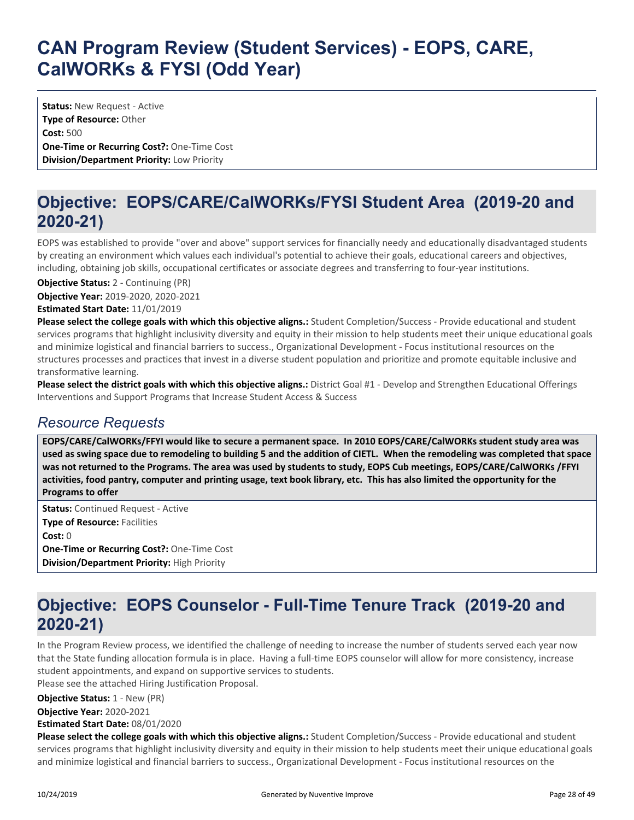**Status:** New Request - Active **Type of Resource:** Other **Cost:** 500 **One-Time or Recurring Cost?:** One-Time Cost **Division/Department Priority:** Low Priority

## **Objective: EOPS/CARE/CalWORKs/FYSI Student Area (2019-20 and 2020-21)**

EOPS was established to provide "over and above" support services for financially needy and educationally disadvantaged students by creating an environment which values each individual's potential to achieve their goals, educational careers and objectives, including, obtaining job skills, occupational certificates or associate degrees and transferring to four-year institutions.

**Objective Year:** 2019-2020, 2020-2021 **Objective Status:** 2 - Continuing (PR)

**Estimated Start Date:** 11/01/2019

**Please select the college goals with which this objective aligns.:** Student Completion/Success - Provide educational and student services programs that highlight inclusivity diversity and equity in their mission to help students meet their unique educational goals and minimize logistical and financial barriers to success., Organizational Development - Focus institutional resources on the structures processes and practices that invest in a diverse student population and prioritize and promote equitable inclusive and transformative learning.

**Please select the district goals with which this objective aligns.:** District Goal #1 - Develop and Strengthen Educational Offerings Interventions and Support Programs that Increase Student Access & Success

### *Resource Requests*

**EOPS/CARE/CalWORKs/FFYI would like to secure a permanent space. In 2010 EOPS/CARE/CalWORKs student study area was used as swing space due to remodeling to building 5 and the addition of CIETL. When the remodeling was completed that space was not returned to the Programs. The area was used by students to study, EOPS Cub meetings, EOPS/CARE/CalWORKs /FFYI activities, food pantry, computer and printing usage, text book library, etc. This has also limited the opportunity for the Programs to offer**

**Status:** Continued Request - Active **Type of Resource:** Facilities **Cost:** 0 **One-Time or Recurring Cost?:** One-Time Cost **Division/Department Priority:** High Priority

### **Objective: EOPS Counselor - Full-Time Tenure Track (2019-20 and 2020-21)**

In the Program Review process, we identified the challenge of needing to increase the number of students served each year now that the State funding allocation formula is in place. Having a full-time EOPS counselor will allow for more consistency, increase student appointments, and expand on supportive services to students.

Please see the attached Hiring Justification Proposal.

**Objective Status:** 1 - New (PR)

**Objective Year:** 2020-2021

**Estimated Start Date:** 08/01/2020

**Please select the college goals with which this objective aligns.:** Student Completion/Success - Provide educational and student services programs that highlight inclusivity diversity and equity in their mission to help students meet their unique educational goals and minimize logistical and financial barriers to success., Organizational Development - Focus institutional resources on the